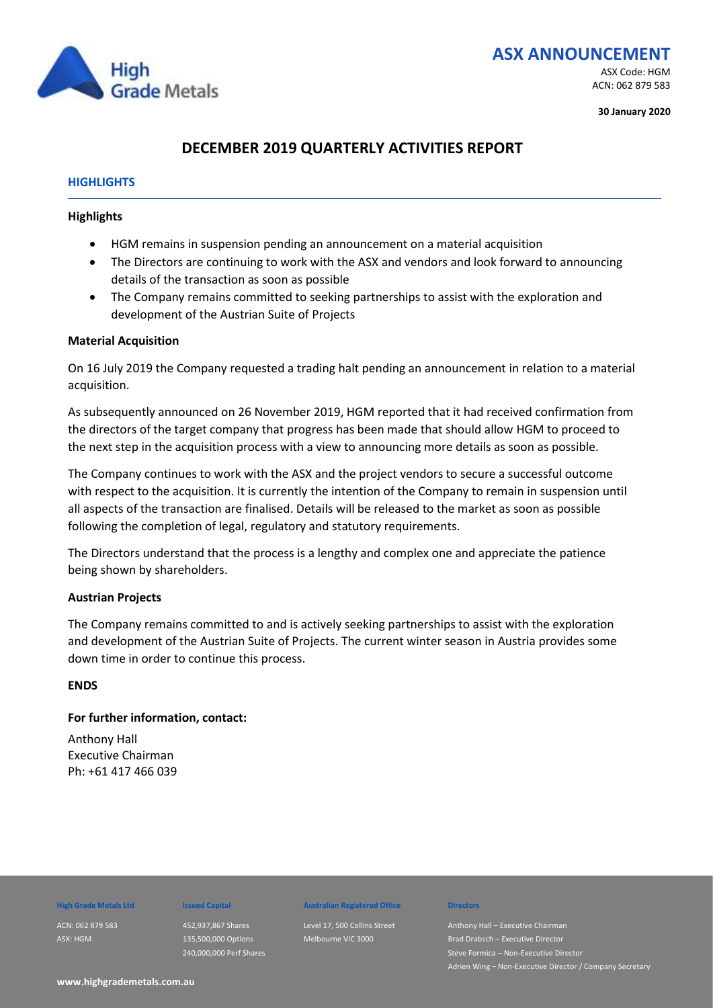

## **ASX ANNOUNCEMENT** ASX Code: HGM

ACN: 062 879 583

**30 January 2020**

## **DECEMBER 2019 QUARTERLY ACTIVITIES REPORT**

### **HIGHLIGHTS**

### **Highlights**

- HGM remains in suspension pending an announcement on a material acquisition
- The Directors are continuing to work with the ASX and vendors and look forward to announcing details of the transaction as soon as possible
- The Company remains committed to seeking partnerships to assist with the exploration and development of the Austrian Suite of Projects

### **Material Acquisition**

On 16 July 2019 the Company requested a trading halt pending an announcement in relation to a material acquisition.

As subsequently announced on 26 November 2019, HGM reported that it had received confirmation from the directors of the target company that progress has been made that should allow HGM to proceed to the next step in the acquisition process with a view to announcing more details as soon as possible.

The Company continues to work with the ASX and the project vendors to secure a successful outcome with respect to the acquisition. It is currently the intention of the Company to remain in suspension until all aspects of the transaction are finalised. Details will be released to the market as soon as possible following the completion of legal, regulatory and statutory requirements.

The Directors understand that the process is a lengthy and complex one and appreciate the patience being shown by shareholders.

### **Austrian Projects**

The Company remains committed to and is actively seeking partnerships to assist with the exploration and development of the Austrian Suite of Projects. The current winter season in Austria provides some down time in order to continue this process.

### **ENDS**

### **For further information, contact:**

Anthony Hall Executive Chairman Ph: +61 417 466 039

# ACN: 062 879 583

ASX: HGM

452,937,867 Shares 135,500,000 Options 240,000,000 Perf Shares

### **High Grade Metals Ltd Issued Capital Australian Registered Office Directors**

Level 17, 500 Collins Street Melbourne VIC 3000

Anthony Hall – Executive Chairman **Brad Drabsch – Executive Director** ve Director Adrien Wing – Non-Executive Director / Company Secretary

**www.highgrademetals.com.au**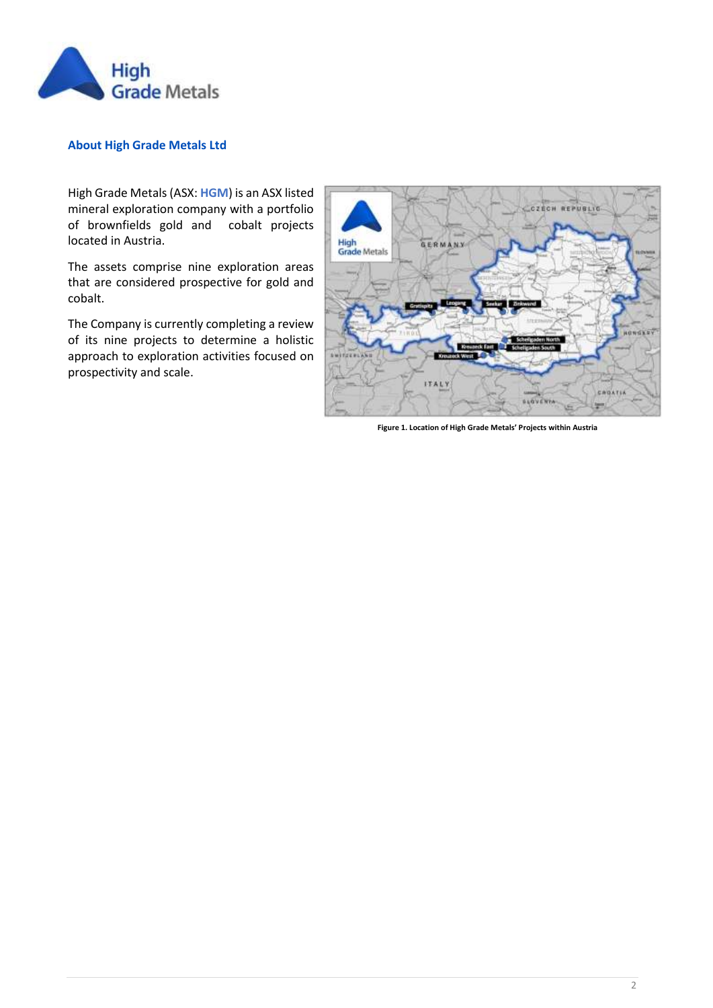

### **About High Grade Metals Ltd**

High Grade Metals (ASX: **HGM**) is an ASX listed mineral exploration company with a portfolio of brownfields gold and cobalt projects located in Austria.

The assets comprise nine exploration areas that are considered prospective for gold and cobalt.

The Company is currently completing a review of its nine projects to determine a holistic approach to exploration activities focused on prospectivity and scale.



**Figure 1. Location of High Grade Metals' Projects within Austria**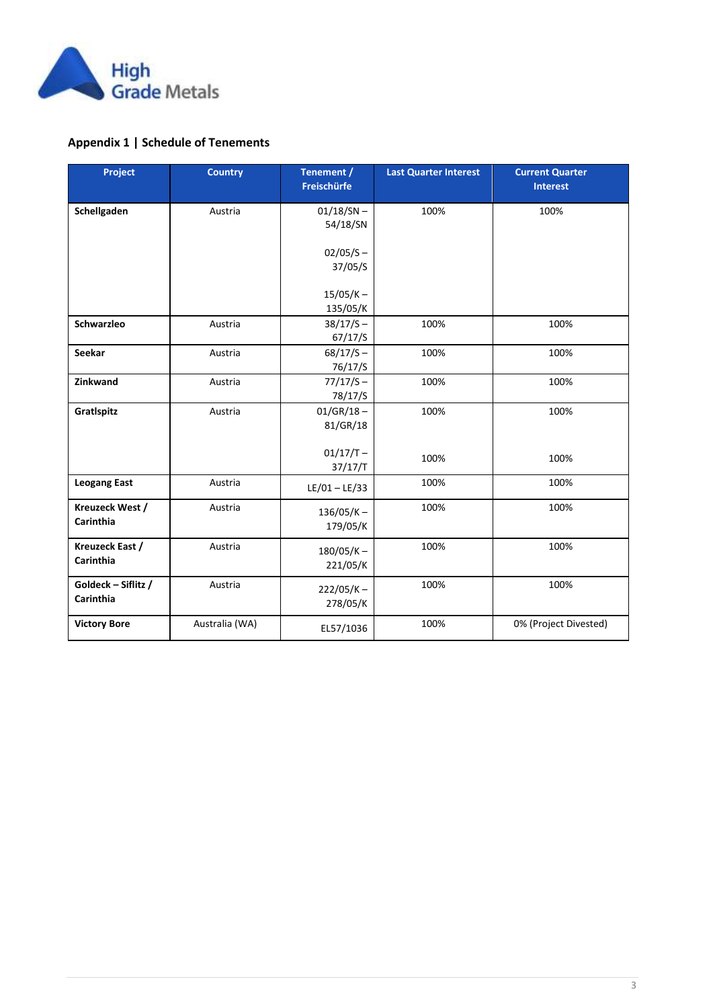

## **Appendix 1 | Schedule of Tenements**

| Project                          | <b>Country</b> | Tenement /<br>Freischürfe | <b>Last Quarter Interest</b> | <b>Current Quarter</b><br><b>Interest</b> |
|----------------------------------|----------------|---------------------------|------------------------------|-------------------------------------------|
| Schellgaden                      | Austria        | $01/18/SN -$<br>54/18/SN  | 100%                         | 100%                                      |
|                                  |                | $02/05/S -$<br>37/05/S    |                              |                                           |
|                                  |                | $15/05/K -$<br>135/05/K   |                              |                                           |
| Schwarzleo                       | Austria        | $38/17/S -$<br>67/17/S    | 100%                         | 100%                                      |
| Seekar                           | Austria        | $68/17/S -$<br>76/17/S    | 100%                         | 100%                                      |
| Zinkwand                         | Austria        | $77/17/S -$<br>78/17/S    | 100%                         | 100%                                      |
| GratIspitz                       | Austria        | $01/GR/18 -$<br>81/GR/18  | 100%                         | 100%                                      |
|                                  |                | $01/17/T -$<br>37/17/T    | 100%                         | 100%                                      |
| <b>Leogang East</b>              | Austria        | $LE/01 - LE/33$           | 100%                         | 100%                                      |
| Kreuzeck West /<br>Carinthia     | Austria        | $136/05/K -$<br>179/05/K  | 100%                         | 100%                                      |
| Kreuzeck East /<br>Carinthia     | Austria        | $180/05/K -$<br>221/05/K  | 100%                         | 100%                                      |
| Goldeck - Siflitz /<br>Carinthia | Austria        | $222/05/K -$<br>278/05/K  | 100%                         | 100%                                      |
| <b>Victory Bore</b>              | Australia (WA) | EL57/1036                 | 100%                         | 0% (Project Divested)                     |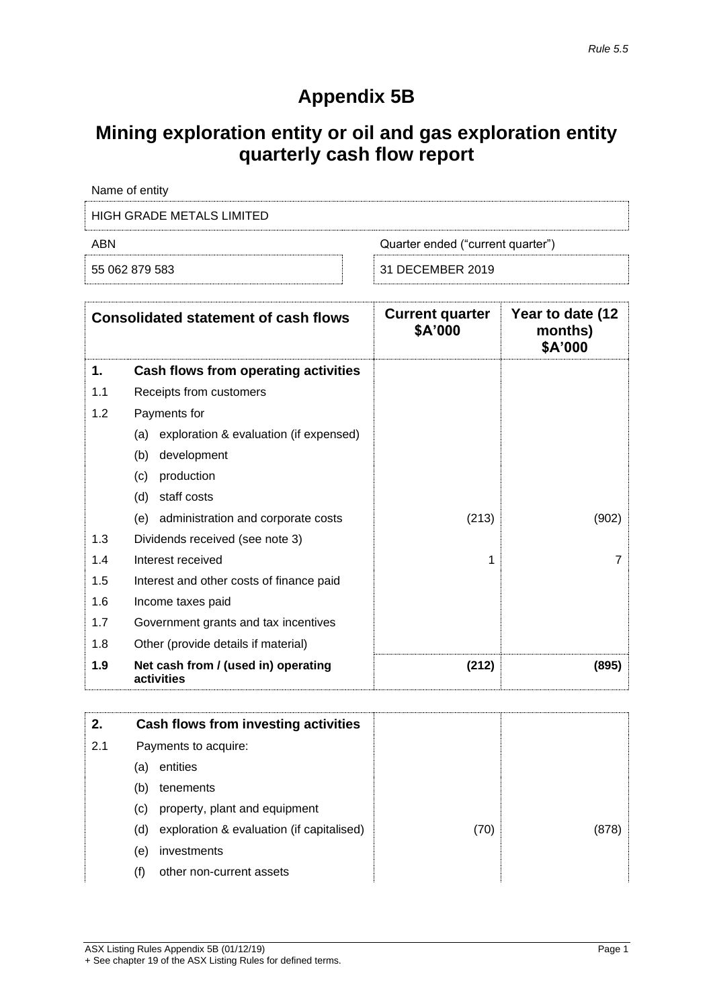# **Appendix 5B**

# **Mining exploration entity or oil and gas exploration entity quarterly cash flow report**

| Name of entity                           |                  |  |
|------------------------------------------|------------------|--|
| HIGH GRADE METALS LIMITED                |                  |  |
| ABN<br>Quarter ended ("current quarter") |                  |  |
| 55 062 879 583                           | 31 DECEMBER 2019 |  |

|     | <b>Consolidated statement of cash flows</b>       | <b>Current quarter</b><br>\$A'000 | Year to date (12<br>months)<br>\$A'000 |
|-----|---------------------------------------------------|-----------------------------------|----------------------------------------|
| 1.  | Cash flows from operating activities              |                                   |                                        |
| 1.1 | Receipts from customers                           |                                   |                                        |
| 1.2 | Payments for                                      |                                   |                                        |
|     | exploration & evaluation (if expensed)<br>(a)     |                                   |                                        |
|     | development<br>(b)                                |                                   |                                        |
|     | (c)<br>production                                 |                                   |                                        |
|     | (d)<br>staff costs                                |                                   |                                        |
|     | administration and corporate costs<br>(e)         | (213)                             | (902)                                  |
| 1.3 | Dividends received (see note 3)                   |                                   |                                        |
| 1.4 | Interest received                                 | 1                                 | 7                                      |
| 1.5 | Interest and other costs of finance paid          |                                   |                                        |
| 1.6 | Income taxes paid                                 |                                   |                                        |
| 1.7 | Government grants and tax incentives              |                                   |                                        |
| 1.8 | Other (provide details if material)               |                                   |                                        |
| 1.9 | Net cash from / (used in) operating<br>activities | (212)                             | (895)                                  |

| 2.  | Cash flows from investing activities             |      |      |
|-----|--------------------------------------------------|------|------|
| 2.1 | Payments to acquire:                             |      |      |
|     | entities<br>(a)                                  |      |      |
|     | tenements<br>(b)                                 |      |      |
|     | property, plant and equipment<br>(C)             |      |      |
|     | exploration & evaluation (if capitalised)<br>(d) | (70) | (878 |
|     | investments<br>(e)                               |      |      |
|     | other non-current assets<br>(f)                  |      |      |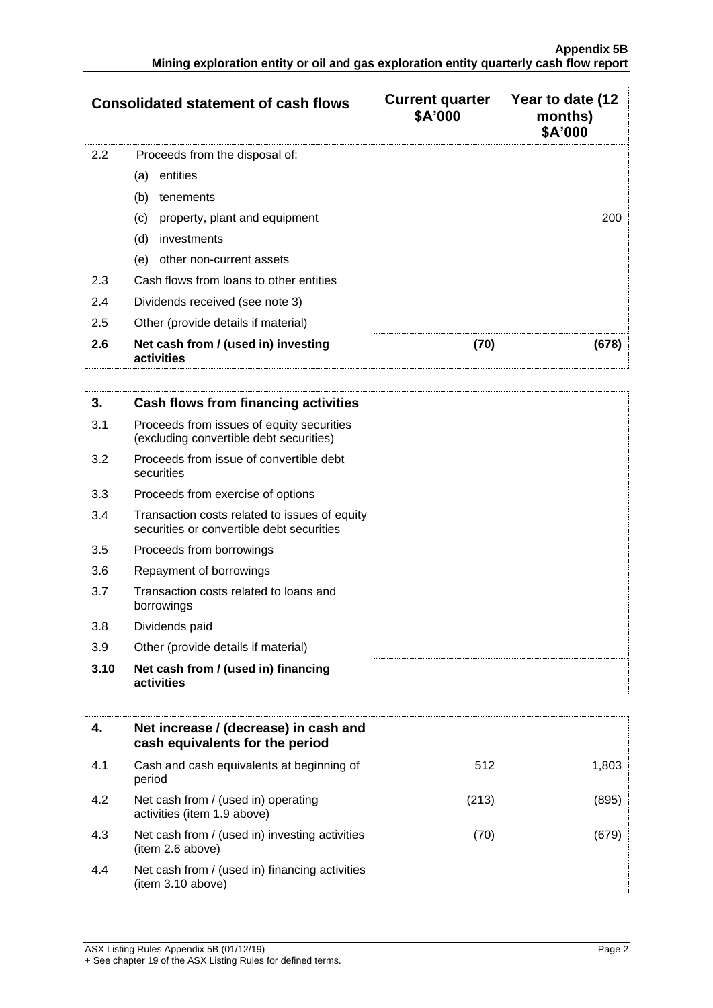|     | <b>Consolidated statement of cash flows</b>       | <b>Current quarter</b><br>\$A'000 | Year to date (12<br>months)<br>\$A'000 |
|-----|---------------------------------------------------|-----------------------------------|----------------------------------------|
| 2.2 | Proceeds from the disposal of:                    |                                   |                                        |
|     | entities<br>(a)                                   |                                   |                                        |
|     | (b)<br>tenements                                  |                                   |                                        |
|     | property, plant and equipment<br>(c)              |                                   | 200                                    |
|     | (d)<br>investments                                |                                   |                                        |
|     | (e)<br>other non-current assets                   |                                   |                                        |
| 2.3 | Cash flows from loans to other entities           |                                   |                                        |
| 2.4 | Dividends received (see note 3)                   |                                   |                                        |
| 2.5 | Other (provide details if material)               |                                   |                                        |
| 2.6 | Net cash from / (used in) investing<br>activities | (70)                              | (678)                                  |

| 3.   | Cash flows from financing activities                                                       |  |
|------|--------------------------------------------------------------------------------------------|--|
| 3.1  | Proceeds from issues of equity securities<br>(excluding convertible debt securities)       |  |
| 3.2  | Proceeds from issue of convertible debt<br>securities                                      |  |
| 3.3  | Proceeds from exercise of options                                                          |  |
| 3.4  | Transaction costs related to issues of equity<br>securities or convertible debt securities |  |
| 3.5  | Proceeds from borrowings                                                                   |  |
| 3.6  | Repayment of borrowings                                                                    |  |
| 3.7  | Transaction costs related to loans and<br>borrowings                                       |  |
| 3.8  | Dividends paid                                                                             |  |
| 3.9  | Other (provide details if material)                                                        |  |
| 3.10 | Net cash from / (used in) financing<br>activities                                          |  |

|     | Net increase / (decrease) in cash and<br>cash equivalents for the period |       |       |
|-----|--------------------------------------------------------------------------|-------|-------|
| 4.1 | Cash and cash equivalents at beginning of<br>period                      | 512   | 1.803 |
| 4.2 | Net cash from / (used in) operating<br>activities (item 1.9 above)       | (213) | (895) |
| 4.3 | Net cash from / (used in) investing activities<br>(item 2.6 above)       | (70)  | (679) |
| 4.4 | Net cash from / (used in) financing activities<br>(item 3.10 above)      |       |       |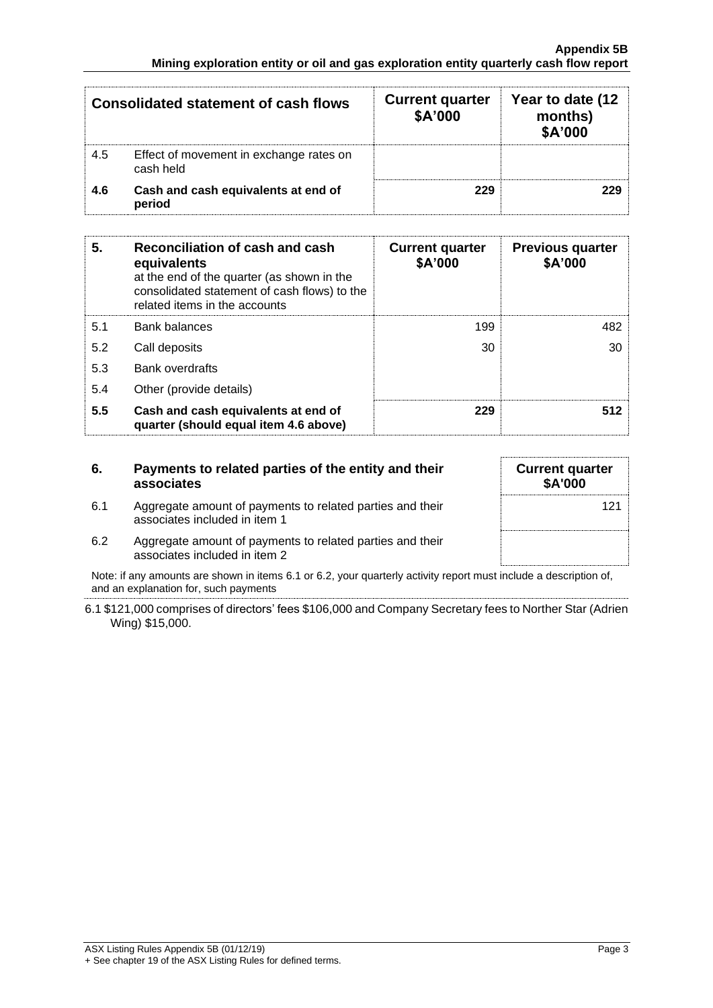|     | <b>Consolidated statement of cash flows</b>          | <b>Current quarter</b><br>\$A'000 | Year to date (12<br>months)<br>\$A'000 |
|-----|------------------------------------------------------|-----------------------------------|----------------------------------------|
| 4.5 | Effect of movement in exchange rates on<br>cash held |                                   |                                        |
| 4.6 | Cash and cash equivalents at end of<br>period        | 229                               | 229                                    |

| 5.  | Reconciliation of cash and cash<br>equivalents<br>at the end of the quarter (as shown in the<br>consolidated statement of cash flows) to the<br>related items in the accounts | <b>Current quarter</b><br>\$A'000 | <b>Previous quarter</b><br>\$A'000 |
|-----|-------------------------------------------------------------------------------------------------------------------------------------------------------------------------------|-----------------------------------|------------------------------------|
| 5.1 | <b>Bank balances</b>                                                                                                                                                          | 199                               | 482                                |
| 5.2 | Call deposits                                                                                                                                                                 | 30                                | 30                                 |
| 5.3 | <b>Bank overdrafts</b>                                                                                                                                                        |                                   |                                    |
| 5.4 | Other (provide details)                                                                                                                                                       |                                   |                                    |
| 5.5 | Cash and cash equivalents at end of<br>quarter (should equal item 4.6 above)                                                                                                  | 229                               | 512                                |

| 6.  | Payments to related parties of the entity and their<br>associates                          | <b>Current quarter</b><br>\$A'000 |
|-----|--------------------------------------------------------------------------------------------|-----------------------------------|
| 6.1 | Aggregate amount of payments to related parties and their<br>associates included in item 1 | 12                                |

6.2 Aggregate amount of payments to related parties and their associates included in item 2

Note: if any amounts are shown in items 6.1 or 6.2, your quarterly activity report must include a description of, and an explanation for, such payments

6.1 \$121,000 comprises of directors' fees \$106,000 and Company Secretary fees to Norther Star (Adrien Wing) \$15,000.

121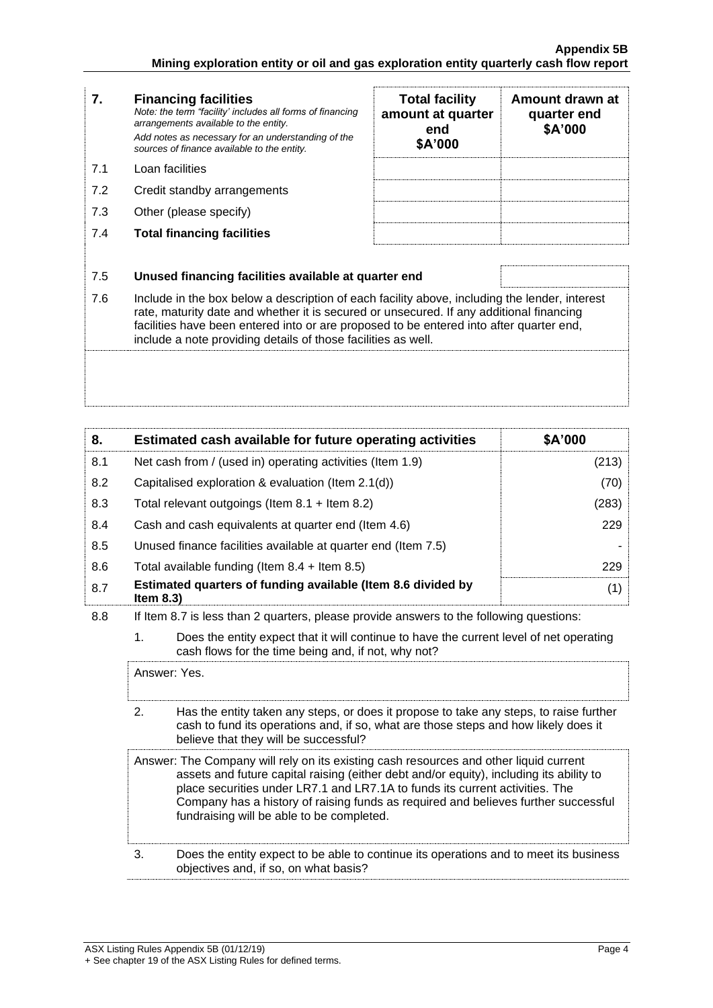| 7.  | <b>Financing facilities</b><br>Note: the term "facility' includes all forms of financing<br>arrangements available to the entity.<br>Add notes as necessary for an understanding of the<br>sources of finance available to the entity.                                                                                                               | <b>Total facility</b><br>amount at quarter<br>end<br>\$A'000 | Amount drawn at<br>quarter end<br>\$A'000 |
|-----|------------------------------------------------------------------------------------------------------------------------------------------------------------------------------------------------------------------------------------------------------------------------------------------------------------------------------------------------------|--------------------------------------------------------------|-------------------------------------------|
| 7.1 | Loan facilities                                                                                                                                                                                                                                                                                                                                      |                                                              |                                           |
| 7.2 | Credit standby arrangements                                                                                                                                                                                                                                                                                                                          |                                                              |                                           |
| 7.3 | Other (please specify)                                                                                                                                                                                                                                                                                                                               |                                                              |                                           |
| 7.4 | <b>Total financing facilities</b>                                                                                                                                                                                                                                                                                                                    |                                                              |                                           |
|     |                                                                                                                                                                                                                                                                                                                                                      |                                                              |                                           |
| 7.5 | Unused financing facilities available at quarter end                                                                                                                                                                                                                                                                                                 |                                                              |                                           |
| 7.6 | Include in the box below a description of each facility above, including the lender, interest<br>rate, maturity date and whether it is secured or unsecured. If any additional financing<br>facilities have been entered into or are proposed to be entered into after quarter end,<br>include a note providing details of those facilities as well. |                                                              |                                           |
|     |                                                                                                                                                                                                                                                                                                                                                      |                                                              |                                           |

| 8.  | Estimated cash available for future operating activities                     | \$A'000 |
|-----|------------------------------------------------------------------------------|---------|
| 8.1 | Net cash from / (used in) operating activities (Item 1.9)                    | (213)   |
| 8.2 | Capitalised exploration & evaluation (Item 2.1(d))                           | (70)    |
| 8.3 | Total relevant outgoings (Item $8.1 +$ Item $8.2$ )                          | (283)   |
| 8.4 | Cash and cash equivalents at quarter end (Item 4.6)                          | 229     |
| 8.5 | Unused finance facilities available at quarter end (Item 7.5)                |         |
| 8.6 | Total available funding (Item $8.4 +$ Item $8.5$ )                           | 229     |
| 8.7 | Estimated quarters of funding available (Item 8.6 divided by<br>Item $8.3$ ) | (1)     |

8.8 If Item 8.7 is less than 2 quarters, please provide answers to the following questions:

1. Does the entity expect that it will continue to have the current level of net operating cash flows for the time being and, if not, why not?

Answer: Yes. 2. Has the entity taken any steps, or does it propose to take any steps, to raise further cash to fund its operations and, if so, what are those steps and how likely does it believe that they will be successful? Answer: The Company will rely on its existing cash resources and other liquid current assets and future capital raising (either debt and/or equity), including its ability to place securities under LR7.1 and LR7.1A to funds its current activities. The Company has a history of raising funds as required and believes further successful fundraising will be able to be completed. 3. Does the entity expect to be able to continue its operations and to meet its business objectives and, if so, on what basis?